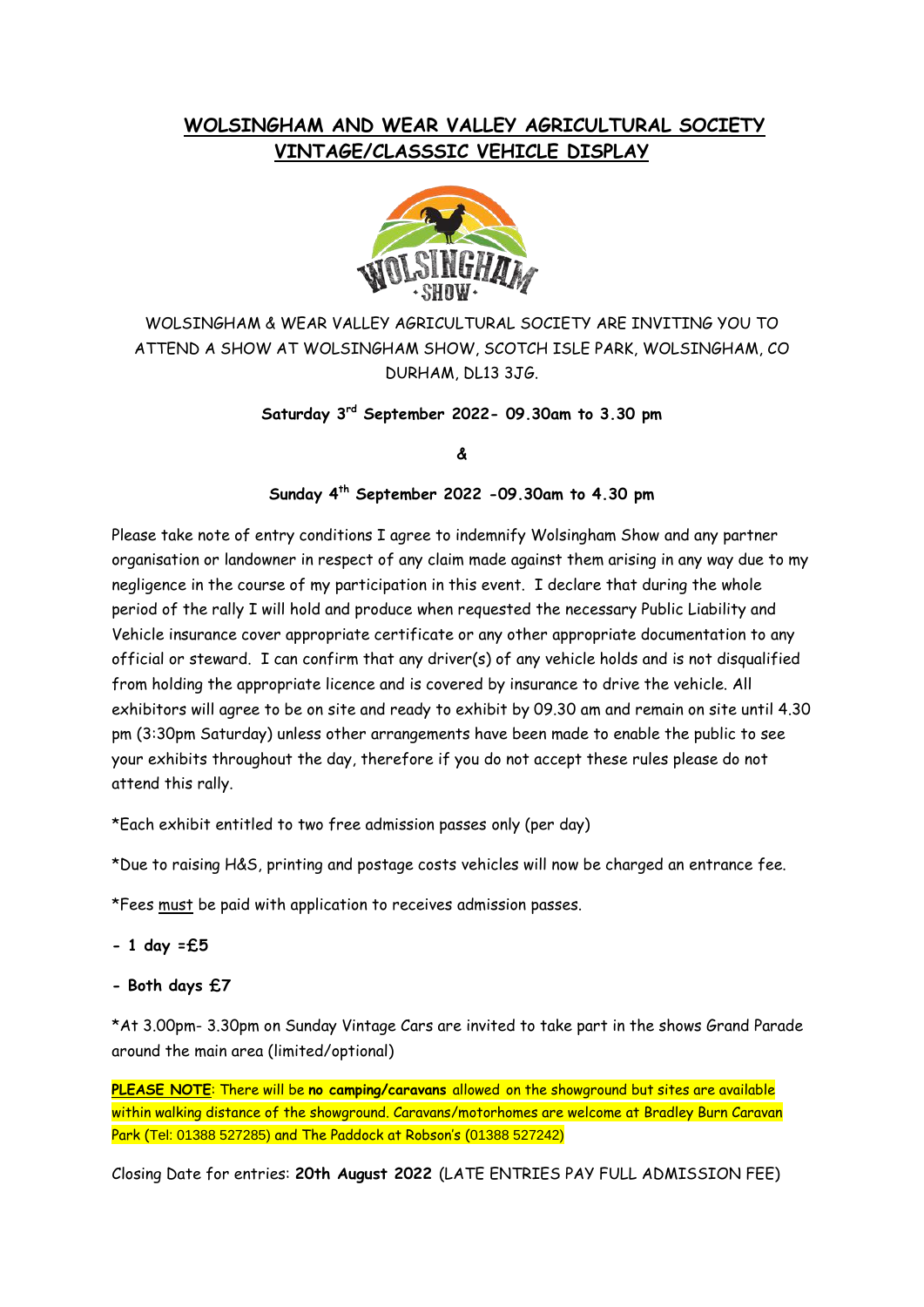## **WOLSINGHAM AND WEAR VALLEY AGRICULTURAL SOCIETY VINTAGE/CLASSSIC VEHICLE DISPLAY**



WOLSINGHAM & WEAR VALLEY AGRICULTURAL SOCIETY ARE INVITING YOU TO ATTEND A SHOW AT WOLSINGHAM SHOW, SCOTCH ISLE PARK, WOLSINGHAM, CO DURHAM, DL13 3JG.

**Saturday 3 rd September 2022- 09.30am to 3.30 pm**

## **&**

## **Sunday 4th September 2022 -09.30am to 4.30 pm**

Please take note of entry conditions I agree to indemnify Wolsingham Show and any partner organisation or landowner in respect of any claim made against them arising in any way due to my negligence in the course of my participation in this event. I declare that during the whole period of the rally I will hold and produce when requested the necessary Public Liability and Vehicle insurance cover appropriate certificate or any other appropriate documentation to any official or steward. I can confirm that any driver(s) of any vehicle holds and is not disqualified from holding the appropriate licence and is covered by insurance to drive the vehicle. All exhibitors will agree to be on site and ready to exhibit by 09.30 am and remain on site until 4.30 pm (3:30pm Saturday) unless other arrangements have been made to enable the public to see your exhibits throughout the day, therefore if you do not accept these rules please do not attend this rally.

\*Each exhibit entitled to two free admission passes only (per day)

\*Due to raising H&S, printing and postage costs vehicles will now be charged an entrance fee.

\*Fees must be paid with application to receives admission passes.

- **- 1 day =£5**
- **- Both days £7**

\*At 3.00pm- 3.30pm on Sunday Vintage Cars are invited to take part in the shows Grand Parade around the main area (limited/optional)

**PLEASE NOTE**: There will be **no camping/caravans** allowed on the showground but sites are available within walking distance of the showground. Caravans/motorhomes are welcome at Bradley Burn Caravan Park (Tel: 01388 527285) and The Paddock at Robson's (01388 527242)

Closing Date for entries: **20th August 2022** (LATE ENTRIES PAY FULL ADMISSION FEE)